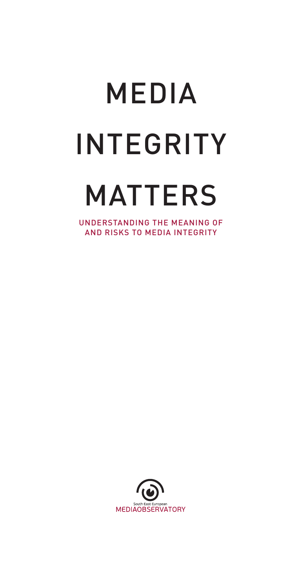# MEDIA INTEGRITY MATTERS

UNDERSTANDING THE MEANING OF AND RISKS TO MEDIA INTEGRITY

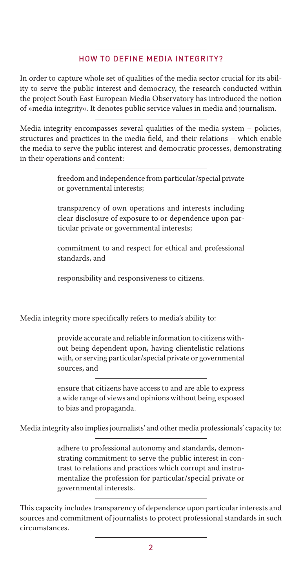### HOW TO DEFINE MEDIA INTEGRITY?

In order to capture whole set of qualities of the media sector crucial for its ability to serve the public interest and democracy, the research conducted within the project South East European Media Observatory has introduced the notion of »media integrity«. It denotes public service values in media and journalism.

Media integrity encompasses several qualities of the media system – policies, structures and practices in the media field, and their relations – which enable the media to serve the public interest and democratic processes, demonstrating in their operations and content:

> freedom and independence from particular/special private or governmental interests;

> transparency of own operations and interests including clear disclosure of exposure to or dependence upon particular private or governmental interests;

> commitment to and respect for ethical and professional standards, and

responsibility and responsiveness to citizens.

Media integrity more specifically refers to media's ability to:

provide accurate and reliable information to citizens without being dependent upon, having clientelistic relations with, or serving particular/special private or governmental sources, and

ensure that citizens have access to and are able to express a wide range of views and opinions without being exposed to bias and propaganda.

Media integrity also implies journalists' and other media professionals' capacity to:

adhere to professional autonomy and standards, demonstrating commitment to serve the public interest in contrast to relations and practices which corrupt and instrumentalize the profession for particular/special private or governmental interests.

This capacity includes transparency of dependence upon particular interests and sources and commitment of journalists to protect professional standards in such circumstances.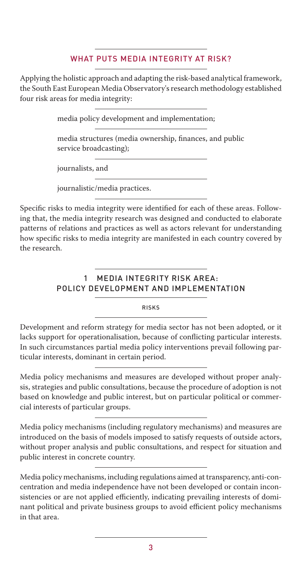## WHAT PUTS MEDIA INTEGRITY AT RISK?

Applying the holistic approach and adapting the risk-based analytical framework, the South East European Media Observatory's research methodology established four risk areas for media integrity:

media policy development and implementation;

media structures (media ownership, finances, and public service broadcasting);

journalists, and

journalistic/media practices.

Specific risks to media integrity were identified for each of these areas. Following that, the media integrity research was designed and conducted to elaborate patterns of relations and practices as well as actors relevant for understanding how specific risks to media integrity are manifested in each country covered by the research.

#### **MEDIA INTEGRITY RISK AREA:** POLICY DEVELOPMENT AND IMPLEMENTATION

RISKS

Development and reform strategy for media sector has not been adopted, or it lacks support for operationalisation, because of conflicting particular interests. In such circumstances partial media policy interventions prevail following particular interests, dominant in certain period.

Media policy mechanisms and measures are developed without proper analysis, strategies and public consultations, because the procedure of adoption is not based on knowledge and public interest, but on particular political or commercial interests of particular groups.

Media policy mechanisms (including regulatory mechanisms) and measures are introduced on the basis of models imposed to satisfy requests of outside actors, without proper analysis and public consultations, and respect for situation and public interest in concrete country.

Media policy mechanisms, including regulations aimed at transparency, anti-concentration and media independence have not been developed or contain inconsistencies or are not applied efficiently, indicating prevailing interests of dominant political and private business groups to avoid efficient policy mechanisms in that area.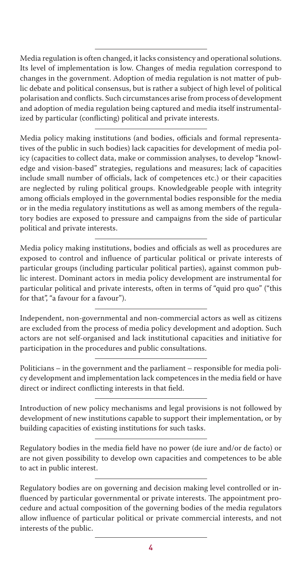Media regulation is often changed, it lacks consistency and operational solutions. Its level of implementation is low. Changes of media regulation correspond to changes in the government. Adoption of media regulation is not matter of public debate and political consensus, but is rather a subject of high level of political polarisation and conflicts. Such circumstances arise from process of development and adoption of media regulation being captured and media itself instrumentalized by particular (conflicting) political and private interests.

Media policy making institutions (and bodies, officials and formal representatives of the public in such bodies) lack capacities for development of media policy (capacities to collect data, make or commission analyses, to develop "knowledge and vision-based" strategies, regulations and measures; lack of capacities include small number of officials, lack of competences etc.) or their capacities are neglected by ruling political groups. Knowledgeable people with integrity among officials employed in the governmental bodies responsible for the media or in the media regulatory institutions as well as among members of the regulatory bodies are exposed to pressure and campaigns from the side of particular political and private interests.

Media policy making institutions, bodies and officials as well as procedures are exposed to control and influence of particular political or private interests of particular groups (including particular political parties), against common public interest. Dominant actors in media policy development are instrumental for particular political and private interests, often in terms of "quid pro quo" ("this for that", "a favour for a favour").

Independent, non-governmental and non-commercial actors as well as citizens are excluded from the process of media policy development and adoption. Such actors are not self-organised and lack institutional capacities and initiative for participation in the procedures and public consultations.

Politicians – in the government and the parliament – responsible for media policy development and implementation lack competences in the media field or have direct or indirect conflicting interests in that field.

Introduction of new policy mechanisms and legal provisions is not followed by development of new institutions capable to support their implementation, or by building capacities of existing institutions for such tasks.

Regulatory bodies in the media field have no power (de iure and/or de facto) or are not given possibility to develop own capacities and competences to be able to act in public interest.

Regulatory bodies are on governing and decision making level controlled or influenced by particular governmental or private interests. The appointment procedure and actual composition of the governing bodies of the media regulators allow influence of particular political or private commercial interests, and not interests of the public.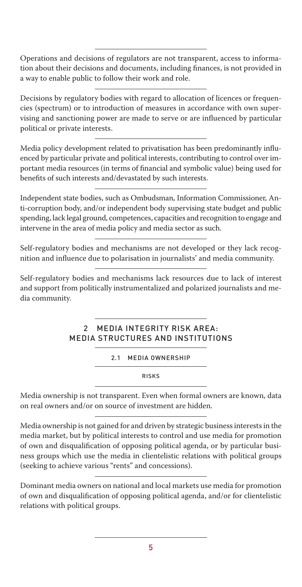Operations and decisions of regulators are not transparent, access to information about their decisions and documents, including finances, is not provided in a way to enable public to follow their work and role.

Decisions by regulatory bodies with regard to allocation of licences or frequencies (spectrum) or to introduction of measures in accordance with own supervising and sanctioning power are made to serve or are influenced by particular political or private interests.

Media policy development related to privatisation has been predominantly influenced by particular private and political interests, contributing to control over important media resources (in terms of financial and symbolic value) being used for benefits of such interests and/devastated by such interests.

Independent state bodies, such as Ombudsman, Information Commissioner, Anti-corruption body, and/or independent body supervising state budget and public spending, lack legal ground, competences, capacities and recognition to engage and intervene in the area of media policy and media sector as such.

Self-regulatory bodies and mechanisms are not developed or they lack recognition and influence due to polarisation in journalists' and media community.

Self-regulatory bodies and mechanisms lack resources due to lack of interest and support from politically instrumentalized and polarized journalists and media community.

# 2 MEDIA INTEGRITY RISK AREA: MEDIA STRUCTURES AND INSTITUTIONS

2.1 MEDIA OWNERSHIP

RISKS

Media ownership is not transparent. Even when formal owners are known, data on real owners and/or on source of investment are hidden.

Media ownership is not gained for and driven by strategic business interests in the media market, but by political interests to control and use media for promotion of own and disqualification of opposing political agenda, or by particular business groups which use the media in clientelistic relations with political groups (seeking to achieve various "rents" and concessions).

Dominant media owners on national and local markets use media for promotion of own and disqualification of opposing political agenda, and/or for clientelistic relations with political groups.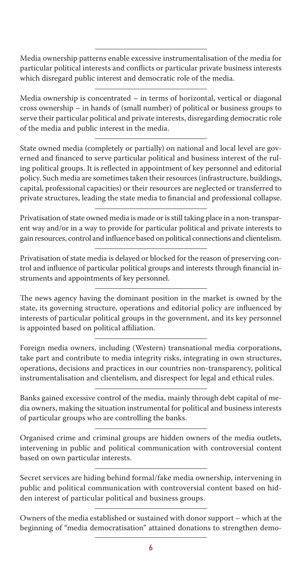Media ownership patterns enable excessive instrumentalisation of the media for particular political interests and conflicts or particular private business interests which disregard public interest and democratic role of the media.

Media ownership is concentrated – in terms of horizontal, vertical or diagonal cross ownership – in hands of (small number) of political or business groups to serve their particular political and private interests, disregarding democratic role of the media and public interest in the media.

State owned media (completely or partially) on national and local level are governed and financed to serve particular political and business interest of the ruling political groups. It is reflected in appointment of key personnel and editorial policy. Such media are sometimes taken their resources (infrastructure, buildings, capital, professional capacities) or their resources are neglected or transferred to private structures, leading the state media to financial and professional collapse.

Privatisation of state owned media is made or is still taking place in a non-transparent way and/or in a way to provide for particular political and private interests to gain resources, control and influence based on political connections and clientelism.

Privatisation of state media is delayed or blocked for the reason of preserving control and influence of particular political groups and interests through financial instruments and appointments of key personnel.

The news agency having the dominant position in the market is owned by the state, its governing structure, operations and editorial policy are influenced by interests of particular political groups in the government, and its key personnel is appointed based on political affiliation.

Foreign media owners, including (Western) transnational media corporations, take part and contribute to media integrity risks, integrating in own structures, operations, decisions and practices in our countries non-transparency, political instrumentalisation and clientelism, and disrespect for legal and ethical rules.

Banks gained excessive control of the media, mainly through debt capital of media owners, making the situation instrumental for political and business interests of particular groups who are controlling the banks.

Organised crime and criminal groups are hidden owners of the media outlets, intervening in public and political communication with controversial content based on own particular interests.

Secret services are hiding behind formal/fake media ownership, intervening in public and political communication with controversial content based on hidden interest of particular political and business groups.

Owners of the media established or sustained with donor support – which at the beginning of "media democratisation" attained donations to strengthen demo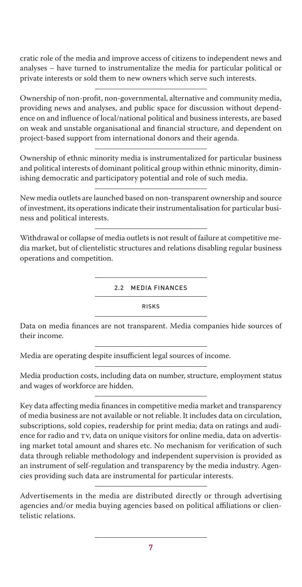cratic role of the media and improve access of citizens to independent news and analyses – have turned to instrumentalize the media for particular political or private interests or sold them to new owners which serve such interests.

Ownership of non-profit, non-governmental, alternative and community media, providing news and analyses, and public space for discussion without dependence on and influence of local/national political and business interests, are based on weak and unstable organisational and financial structure, and dependent on project-based support from international donors and their agenda.

Ownership of ethnic minority media is instrumentalized for particular business and political interests of dominant political group within ethnic minority, diminishing democratic and participatory potential and role of such media.

New media outlets are launched based on non-transparent ownership and source of investment, its operations indicate their instrumentalisation for particular business and political interests.

Withdrawal or collapse of media outlets is not result of failure at competitive media market, but of clientelistic structures and relations disabling regular business operations and competition.

2.2 MEDIA FINANCES

RISKS

Data on media finances are not transparent. Media companies hide sources of their income.

Media are operating despite insufficient legal sources of income.

Media production costs, including data on number, structure, employment status and wages of workforce are hidden.

Key data affecting media finances in competitive media market and transparency of media business are not available or not reliable. It includes data on circulation, subscriptions, sold copies, readership for print media; data on ratings and audience for radio and TV, data on unique visitors for online media, data on advertising market total amount and shares etc. No mechanism for verification of such data through reliable methodology and independent supervision is provided as an instrument of self-regulation and transparency by the media industry. Agencies providing such data are instrumental for particular interests.

Advertisements in the media are distributed directly or through advertising agencies and/or media buying agencies based on political affiliations or clientelistic relations.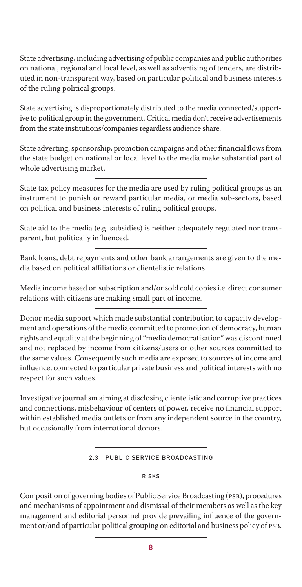State advertising, including advertising of public companies and public authorities on national, regional and local level, as well as advertising of tenders, are distributed in non-transparent way, based on particular political and business interests of the ruling political groups.

State advertising is disproportionately distributed to the media connected/supportive to political group in the government. Critical media don't receive advertisements from the state institutions/companies regardless audience share.

State adverting, sponsorship, promotion campaigns and other financial flows from the state budget on national or local level to the media make substantial part of whole advertising market.

State tax policy measures for the media are used by ruling political groups as an instrument to punish or reward particular media, or media sub-sectors, based on political and business interests of ruling political groups.

State aid to the media (e.g. subsidies) is neither adequately regulated nor transparent, but politically influenced.

Bank loans, debt repayments and other bank arrangements are given to the media based on political affiliations or clientelistic relations.

Media income based on subscription and/or sold cold copies i.e. direct consumer relations with citizens are making small part of income.

Donor media support which made substantial contribution to capacity development and operations of the media committed to promotion of democracy, human rights and equality at the beginning of "media democratisation" was discontinued and not replaced by income from citizens/users or other sources committed to the same values. Consequently such media are exposed to sources of income and influence, connected to particular private business and political interests with no respect for such values.

Investigative journalism aiming at disclosing clientelistic and corruptive practices and connections, misbehaviour of centers of power, receive no financial support within established media outlets or from any independent source in the country, but occasionally from international donors.

#### 2.3 PUBLIC SERVICE BROADCASTING

RISKS

Composition of governing bodies of Public Service Broadcasting (PSB), procedures and mechanisms of appointment and dismissal of their members as well as the key management and editorial personnel provide prevailing influence of the government or/and of particular political grouping on editorial and business policy of PSB.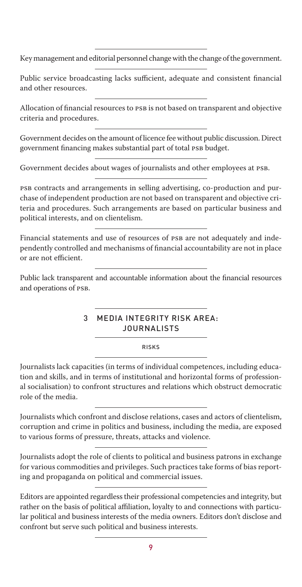Key management and editorial personnel change with the change of the government.

Public service broadcasting lacks sufficient, adequate and consistent financial and other resources.

Allocation of financial resources to PSB is not based on transparent and objective criteria and procedures.

Government decides on the amount of licence fee without public discussion. Direct government financing makes substantial part of total PSB budget.

Government decides about wages of journalists and other employees at PSB.

PSB contracts and arrangements in selling advertising, co-production and purchase of independent production are not based on transparent and objective criteria and procedures. Such arrangements are based on particular business and political interests, and on clientelism.

Financial statements and use of resources of PSB are not adequately and independently controlled and mechanisms of financial accountability are not in place or are not efficient.

Public lack transparent and accountable information about the financial resources and operations of PSB.

#### 3 MEDIA INTEGRITY RISK AREA: JOURNALISTS

RISKS

Journalists lack capacities (in terms of individual competences, including education and skills, and in terms of institutional and horizontal forms of professional socialisation) to confront structures and relations which obstruct democratic role of the media.

Journalists which confront and disclose relations, cases and actors of clientelism, corruption and crime in politics and business, including the media, are exposed to various forms of pressure, threats, attacks and violence.

Journalists adopt the role of clients to political and business patrons in exchange for various commodities and privileges. Such practices take forms of bias reporting and propaganda on political and commercial issues.

Editors are appointed regardless their professional competencies and integrity, but rather on the basis of political affiliation, loyalty to and connections with particular political and business interests of the media owners. Editors don't disclose and confront but serve such political and business interests.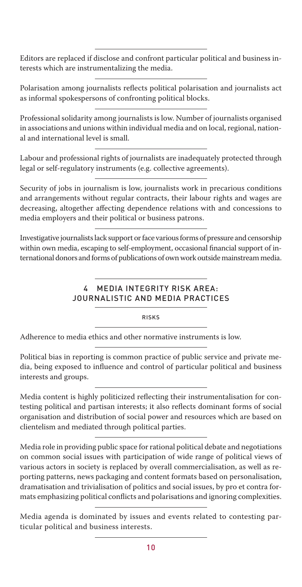Editors are replaced if disclose and confront particular political and business interests which are instrumentalizing the media.

Polarisation among journalists reflects political polarisation and journalists act as informal spokespersons of confronting political blocks.

Professional solidarity among journalists is low. Number of journalists organised in associations and unions within individual media and on local, regional, national and international level is small.

Labour and professional rights of journalists are inadequately protected through legal or self-regulatory instruments (e.g. collective agreements).

Security of jobs in journalism is low, journalists work in precarious conditions and arrangements without regular contracts, their labour rights and wages are decreasing, altogether affecting dependence relations with and concessions to media employers and their political or business patrons.

Investigative journalists lack support or face various forms of pressure and censorship within own media, escaping to self-employment, occasional financial support of international donors and forms of publications of own work outside mainstream media.

# **MEDIA INTEGRITY RISK AREA:** JOURNALISTIC AND MEDIA PRACTICES

RISKS

Adherence to media ethics and other normative instruments is low.

Political bias in reporting is common practice of public service and private media, being exposed to influence and control of particular political and business interests and groups.

Media content is highly politicized reflecting their instrumentalisation for contesting political and partisan interests; it also reflects dominant forms of social organisation and distribution of social power and resources which are based on clientelism and mediated through political parties.

Media role in providing public space for rational political debate and negotiations on common social issues with participation of wide range of political views of various actors in society is replaced by overall commercialisation, as well as reporting patterns, news packaging and content formats based on personalisation, dramatisation and trivialisation of politics and social issues, by pro et contra formats emphasizing political conflicts and polarisations and ignoring complexities.

Media agenda is dominated by issues and events related to contesting particular political and business interests.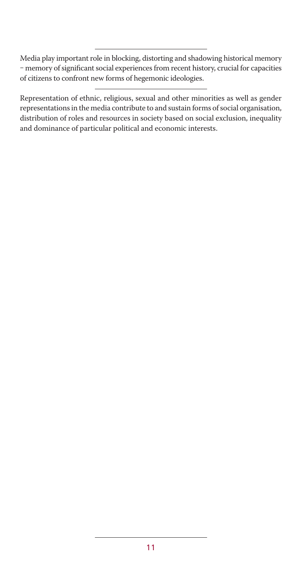Media play important role in blocking, distorting and shadowing historical memory - memory of significant social experiences from recent history, crucial for capacities of citizens to confront new forms of hegemonic ideologies.

Representation of ethnic, religious, sexual and other minorities as well as gender representations in the media contribute to and sustain forms of social organisation, distribution of roles and resources in society based on social exclusion, inequality and dominance of particular political and economic interests.